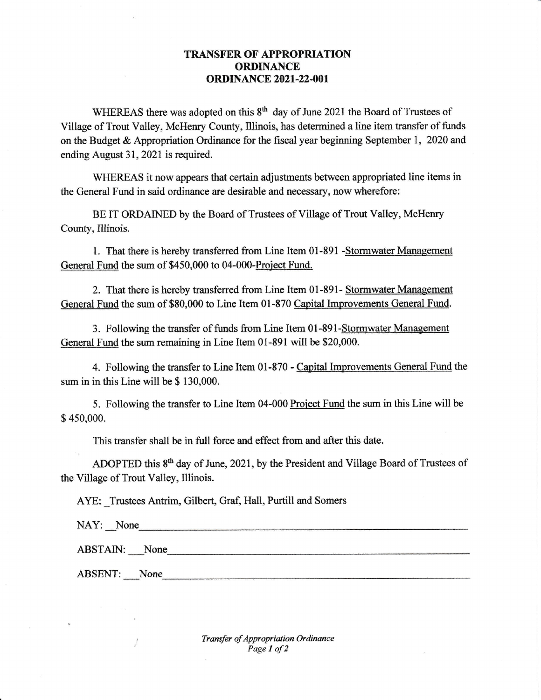## **TRANSFER OF APPROPRIATION ORDINANCE ORDINANCE 2021-22-001**

WHEREAS there was adopted on this  $8<sup>th</sup>$  day of June 2021 the Board of Trustees of Village of Trout Valley, McHenry County, Illinois, has determined a line item tansfer of firnds on the Budget & Appropriation Ordinance for the fiscal year beginning September 1, 2020 and ending August 31, 2021 is required.

WHEREAS it now appears that certain adjustments between appropriated line items in the General Fund in said ordinance are desirable and necessary, now wherefore:

BE IT ORDAINED by the Board of Trustees of Village of Trout Yalley, McHenry County, Illinois.

1. That there is hereby transferred from Line Item 01-891 -Stormwater Management General Fund the sum of \$450,000 to 04-000-Project Fund.

2. That there is hereby transferred from Line Item 01-891- Stormwater Management General Fund the sum of \$80,000 to Line Item 01-870 Capital Improvements General Fund.

3. Following the transfer of funds from Line Item 01-891-Stormwater Management General Fund the sum remaining in Line Item 01-891 will be \$20,000.

4. Following the transfer to Line Item 01-870 - Capital Improvements General Fund the sum in in this Line will be \$ 130,000.

5. Following the transfer to Line Item 04-000 Project Fund the sum in this Line will be \$ 450,000.

This transfer shall be in full force and effect from and after this date.

ADOPTED this  $8<sup>th</sup>$  day of June, 2021, by the President and Village Board of Trustees of the Village of Trout Valley, Illinois.

AYE: Trustees Antrim, Gilbert, Graf, Hall, Purtill and Somers

NAY: None

ABSTAIN: None

ABSENT: None

 $\frac{1}{2}$